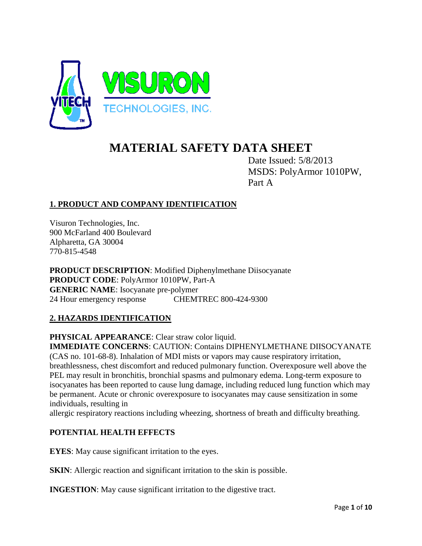

# **MATERIAL SAFETY DATA SHEET**

Date Issued: 5/8/2013 MSDS: PolyArmor 1010PW, Part A

# **1. PRODUCT AND COMPANY IDENTIFICATION**

Visuron Technologies, Inc. 900 McFarland 400 Boulevard Alpharetta, GA 30004 770-815-4548

**PRODUCT DESCRIPTION**: Modified Diphenylmethane Diisocyanate **PRODUCT CODE**: PolyArmor 1010PW, Part-A **GENERIC NAME**: Isocyanate pre-polymer 24 Hour emergency response CHEMTREC 800-424-9300

# **2. HAZARDS IDENTIFICATION**

**PHYSICAL APPEARANCE**: Clear straw color liquid.

**IMMEDIATE CONCERNS**: CAUTION: Contains DIPHENYLMETHANE DIISOCYANATE (CAS no. 101-68-8). Inhalation of MDI mists or vapors may cause respiratory irritation, breathlessness, chest discomfort and reduced pulmonary function. Overexposure well above the PEL may result in bronchitis, bronchial spasms and pulmonary edema. Long-term exposure to isocyanates has been reported to cause lung damage, including reduced lung function which may be permanent. Acute or chronic overexposure to isocyanates may cause sensitization in some individuals, resulting in

allergic respiratory reactions including wheezing, shortness of breath and difficulty breathing.

# **POTENTIAL HEALTH EFFECTS**

**EYES**: May cause significant irritation to the eyes.

**SKIN:** Allergic reaction and significant irritation to the skin is possible.

**INGESTION:** May cause significant irritation to the digestive tract.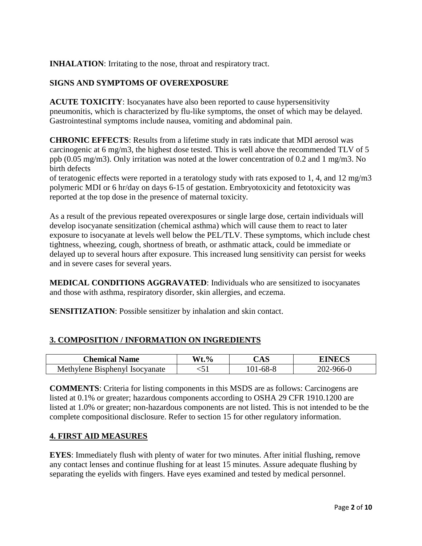**INHALATION**: Irritating to the nose, throat and respiratory tract.

# **SIGNS AND SYMPTOMS OF OVEREXPOSURE**

**ACUTE TOXICITY**: Isocyanates have also been reported to cause hypersensitivity pneumonitis, which is characterized by flu-like symptoms, the onset of which may be delayed. Gastrointestinal symptoms include nausea, vomiting and abdominal pain.

**CHRONIC EFFECTS**: Results from a lifetime study in rats indicate that MDI aerosol was carcinogenic at 6 mg/m3, the highest dose tested. This is well above the recommended TLV of 5 ppb (0.05 mg/m3). Only irritation was noted at the lower concentration of 0.2 and 1 mg/m3. No birth defects

of teratogenic effects were reported in a teratology study with rats exposed to 1, 4, and 12 mg/m3 polymeric MDI or 6 hr/day on days 6-15 of gestation. Embryotoxicity and fetotoxicity was reported at the top dose in the presence of maternal toxicity.

As a result of the previous repeated overexposures or single large dose, certain individuals will develop isocyanate sensitization (chemical asthma) which will cause them to react to later exposure to isocyanate at levels well below the PEL/TLV. These symptoms, which include chest tightness, wheezing, cough, shortness of breath, or asthmatic attack, could be immediate or delayed up to several hours after exposure. This increased lung sensitivity can persist for weeks and in severe cases for several years.

**MEDICAL CONDITIONS AGGRAVATED**: Individuals who are sensitized to isocyanates and those with asthma, respiratory disorder, skin allergies, and eczema.

**SENSITIZATION:** Possible sensitizer by inhalation and skin contact.

# **3. COMPOSITION / INFORMATION ON INGREDIENTS**

| <b>Chemical Name</b>                     | $Wt.\%$ | $\Delta \epsilon$<br>ں ہے۔ | ∩∩   |
|------------------------------------------|---------|----------------------------|------|
| Methylene Bisphenyl<br><b>Isocvanate</b> | \J 1    |                            | ו-חר |

**COMMENTS**: Criteria for listing components in this MSDS are as follows: Carcinogens are listed at 0.1% or greater; hazardous components according to OSHA 29 CFR 1910.1200 are listed at 1.0% or greater; non-hazardous components are not listed. This is not intended to be the complete compositional disclosure. Refer to section 15 for other regulatory information.

#### **4. FIRST AID MEASURES**

**EYES**: Immediately flush with plenty of water for two minutes. After initial flushing, remove any contact lenses and continue flushing for at least 15 minutes. Assure adequate flushing by separating the eyelids with fingers. Have eyes examined and tested by medical personnel.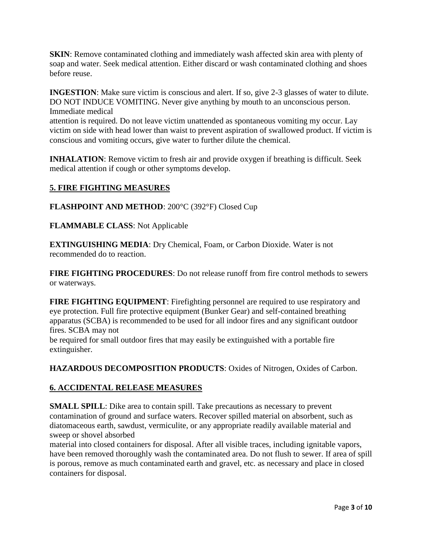**SKIN**: Remove contaminated clothing and immediately wash affected skin area with plenty of soap and water. Seek medical attention. Either discard or wash contaminated clothing and shoes before reuse.

**INGESTION**: Make sure victim is conscious and alert. If so, give 2-3 glasses of water to dilute. DO NOT INDUCE VOMITING. Never give anything by mouth to an unconscious person. Immediate medical

attention is required. Do not leave victim unattended as spontaneous vomiting my occur. Lay victim on side with head lower than waist to prevent aspiration of swallowed product. If victim is conscious and vomiting occurs, give water to further dilute the chemical.

**INHALATION**: Remove victim to fresh air and provide oxygen if breathing is difficult. Seek medical attention if cough or other symptoms develop.

# **5. FIRE FIGHTING MEASURES**

**FLASHPOINT AND METHOD**: 200°C (392°F) Closed Cup

**FLAMMABLE CLASS**: Not Applicable

**EXTINGUISHING MEDIA**: Dry Chemical, Foam, or Carbon Dioxide. Water is not recommended do to reaction.

**FIRE FIGHTING PROCEDURES**: Do not release runoff from fire control methods to sewers or waterways.

**FIRE FIGHTING EQUIPMENT**: Firefighting personnel are required to use respiratory and eye protection. Full fire protective equipment (Bunker Gear) and self-contained breathing apparatus (SCBA) is recommended to be used for all indoor fires and any significant outdoor fires. SCBA may not

be required for small outdoor fires that may easily be extinguished with a portable fire extinguisher.

**HAZARDOUS DECOMPOSITION PRODUCTS**: Oxides of Nitrogen, Oxides of Carbon.

# **6. ACCIDENTAL RELEASE MEASURES**

**SMALL SPILL**: Dike area to contain spill. Take precautions as necessary to prevent contamination of ground and surface waters. Recover spilled material on absorbent, such as diatomaceous earth, sawdust, vermiculite, or any appropriate readily available material and sweep or shovel absorbed

material into closed containers for disposal. After all visible traces, including ignitable vapors, have been removed thoroughly wash the contaminated area. Do not flush to sewer. If area of spill is porous, remove as much contaminated earth and gravel, etc. as necessary and place in closed containers for disposal.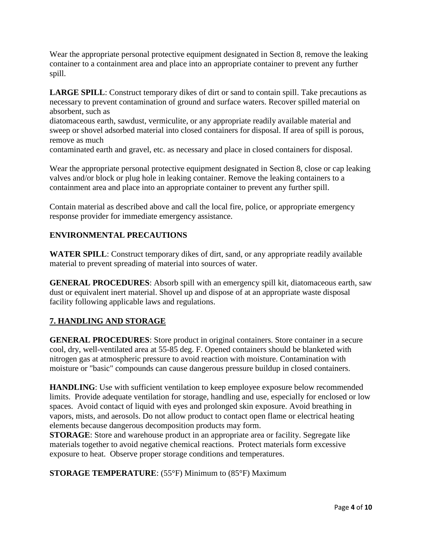Wear the appropriate personal protective equipment designated in Section 8, remove the leaking container to a containment area and place into an appropriate container to prevent any further spill.

**LARGE SPILL**: Construct temporary dikes of dirt or sand to contain spill. Take precautions as necessary to prevent contamination of ground and surface waters. Recover spilled material on absorbent, such as

diatomaceous earth, sawdust, vermiculite, or any appropriate readily available material and sweep or shovel adsorbed material into closed containers for disposal. If area of spill is porous, remove as much

contaminated earth and gravel, etc. as necessary and place in closed containers for disposal.

Wear the appropriate personal protective equipment designated in Section 8, close or cap leaking valves and/or block or plug hole in leaking container. Remove the leaking containers to a containment area and place into an appropriate container to prevent any further spill.

Contain material as described above and call the local fire, police, or appropriate emergency response provider for immediate emergency assistance.

# **ENVIRONMENTAL PRECAUTIONS**

**WATER SPILL**: Construct temporary dikes of dirt, sand, or any appropriate readily available material to prevent spreading of material into sources of water.

**GENERAL PROCEDURES**: Absorb spill with an emergency spill kit, diatomaceous earth, saw dust or equivalent inert material. Shovel up and dispose of at an appropriate waste disposal facility following applicable laws and regulations.

# **7. HANDLING AND STORAGE**

**GENERAL PROCEDURES**: Store product in original containers. Store container in a secure cool, dry, well-ventilated area at 55-85 deg. F. Opened containers should be blanketed with nitrogen gas at atmospheric pressure to avoid reaction with moisture. Contamination with moisture or "basic" compounds can cause dangerous pressure buildup in closed containers.

**HANDLING**: Use with sufficient ventilation to keep employee exposure below recommended limits. Provide adequate ventilation for storage, handling and use, especially for enclosed or low spaces. Avoid contact of liquid with eyes and prolonged skin exposure. Avoid breathing in vapors, mists, and aerosols. Do not allow product to contact open flame or electrical heating elements because dangerous decomposition products may form.

**STORAGE:** Store and warehouse product in an appropriate area or facility. Segregate like materials together to avoid negative chemical reactions. Protect materials form excessive exposure to heat. Observe proper storage conditions and temperatures.

**STORAGE TEMPERATURE**: (55°F) Minimum to (85°F) Maximum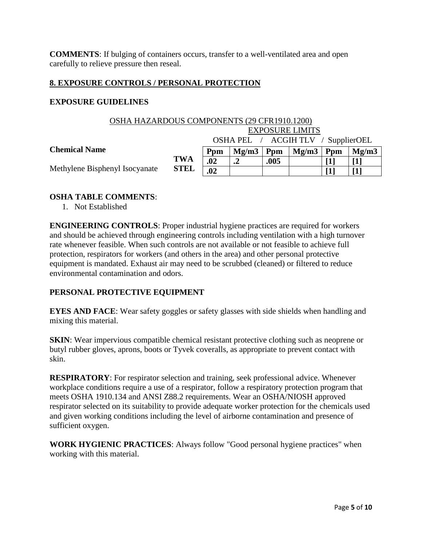**COMMENTS**: If bulging of containers occurs, transfer to a well-ventilated area and open carefully to relieve pressure then reseal.

#### **8. EXPOSURE CONTROLS / PERSONAL PROTECTION**

#### **EXPOSURE GUIDELINES**

| OSHA HAZARDOUS COMPONENTS (29 CFR1910.1200) |                                    |     |       |      |       |     |       |  |
|---------------------------------------------|------------------------------------|-----|-------|------|-------|-----|-------|--|
|                                             | <b>EXPOSURE LIMITS</b>             |     |       |      |       |     |       |  |
|                                             | OSHA PEL / ACGIH TLV / SupplierOEL |     |       |      |       |     |       |  |
| <b>Chemical Name</b>                        |                                    | Ppm | Mg/m3 | Ppm  | Mg/m3 | Ppm | Mg/m3 |  |
| Methylene Bisphenyl Isocyanate              | <b>TWA</b>                         | .02 | ↑     | .005 |       |     |       |  |
|                                             | <b>STEL</b>                        | .02 |       |      |       |     |       |  |

## **OSHA TABLE COMMENTS**:

1. Not Established

**ENGINEERING CONTROLS**: Proper industrial hygiene practices are required for workers and should be achieved through engineering controls including ventilation with a high turnover rate whenever feasible. When such controls are not available or not feasible to achieve full protection, respirators for workers (and others in the area) and other personal protective equipment is mandated. Exhaust air may need to be scrubbed (cleaned) or filtered to reduce environmental contamination and odors.

# **PERSONAL PROTECTIVE EQUIPMENT**

**EYES AND FACE**: Wear safety goggles or safety glasses with side shields when handling and mixing this material.

**SKIN:** Wear impervious compatible chemical resistant protective clothing such as neoprene or butyl rubber gloves, aprons, boots or Tyvek coveralls, as appropriate to prevent contact with skin.

**RESPIRATORY**: For respirator selection and training, seek professional advice. Whenever workplace conditions require a use of a respirator, follow a respiratory protection program that meets OSHA 1910.134 and ANSI Z88.2 requirements. Wear an OSHA/NIOSH approved respirator selected on its suitability to provide adequate worker protection for the chemicals used and given working conditions including the level of airborne contamination and presence of sufficient oxygen.

**WORK HYGIENIC PRACTICES**: Always follow "Good personal hygiene practices" when working with this material.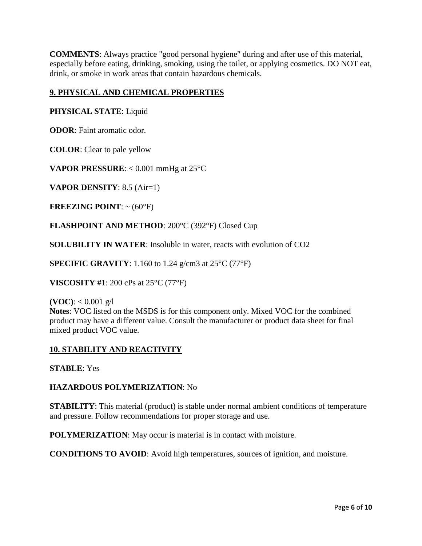**COMMENTS**: Always practice "good personal hygiene" during and after use of this material, especially before eating, drinking, smoking, using the toilet, or applying cosmetics. DO NOT eat, drink, or smoke in work areas that contain hazardous chemicals.

# **9. PHYSICAL AND CHEMICAL PROPERTIES**

## **PHYSICAL STATE**: Liquid

**ODOR**: Faint aromatic odor.

**COLOR**: Clear to pale yellow

**VAPOR PRESSURE:** < 0.001 mmHg at 25°C

**VAPOR DENSITY**: 8.5 (Air=1)

**FREEZING POINT:**  $\sim$  (60 $^{\circ}$ F)

**FLASHPOINT AND METHOD**: 200°C (392°F) Closed Cup

**SOLUBILITY IN WATER**: Insoluble in water, reacts with evolution of CO2

**SPECIFIC GRAVITY**: 1.160 to 1.24 g/cm3 at 25°C (77°F)

**VISCOSITY #1**: 200 cPs at 25°C (77°F)

**(VOC):**  $< 0.001$  g/l

**Notes**: VOC listed on the MSDS is for this component only. Mixed VOC for the combined product may have a different value. Consult the manufacturer or product data sheet for final mixed product VOC value.

# **10. STABILITY AND REACTIVITY**

**STABLE**: Yes

**HAZARDOUS POLYMERIZATION**: No

**STABILITY**: This material (product) is stable under normal ambient conditions of temperature and pressure. Follow recommendations for proper storage and use.

**POLYMERIZATION:** May occur is material is in contact with moisture.

**CONDITIONS TO AVOID**: Avoid high temperatures, sources of ignition, and moisture.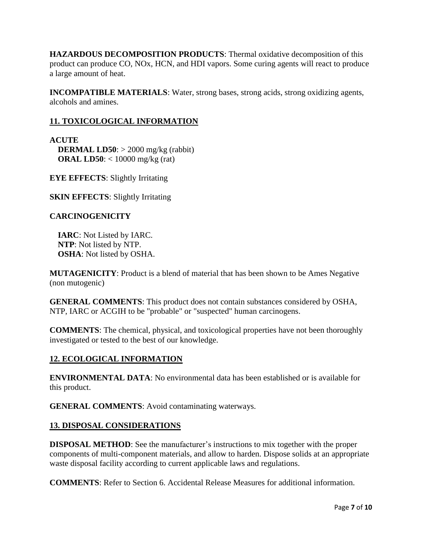**HAZARDOUS DECOMPOSITION PRODUCTS**: Thermal oxidative decomposition of this product can produce CO, NOx, HCN, and HDI vapors. Some curing agents will react to produce a large amount of heat.

**INCOMPATIBLE MATERIALS**: Water, strong bases, strong acids, strong oxidizing agents, alcohols and amines.

# **11. TOXICOLOGICAL INFORMATION**

**ACUTE DERMAL LD50**: > 2000 mg/kg (rabbit)  **ORAL LD50**: < 10000 mg/kg (rat)

**EYE EFFECTS**: Slightly Irritating

**SKIN EFFECTS:** Slightly Irritating

#### **CARCINOGENICITY**

 **IARC**: Not Listed by IARC. **NTP**: Not listed by NTP. **OSHA**: Not listed by OSHA.

**MUTAGENICITY**: Product is a blend of material that has been shown to be Ames Negative (non mutogenic)

**GENERAL COMMENTS**: This product does not contain substances considered by OSHA, NTP, IARC or ACGIH to be "probable" or "suspected" human carcinogens.

**COMMENTS**: The chemical, physical, and toxicological properties have not been thoroughly investigated or tested to the best of our knowledge.

#### **12. ECOLOGICAL INFORMATION**

**ENVIRONMENTAL DATA**: No environmental data has been established or is available for this product.

**GENERAL COMMENTS**: Avoid contaminating waterways.

#### **13. DISPOSAL CONSIDERATIONS**

**DISPOSAL METHOD:** See the manufacturer's instructions to mix together with the proper components of multi-component materials, and allow to harden. Dispose solids at an appropriate waste disposal facility according to current applicable laws and regulations.

**COMMENTS**: Refer to Section 6. Accidental Release Measures for additional information.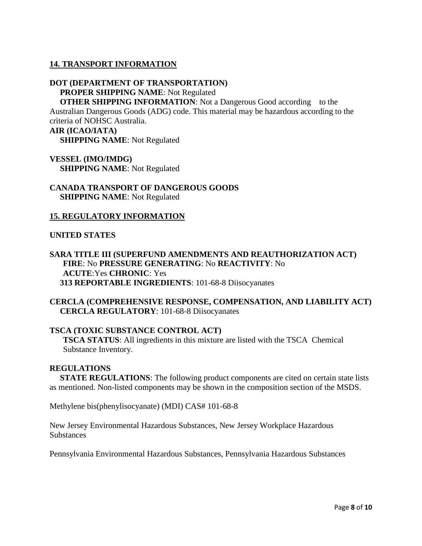#### **14. TRANSPORT INFORMATION**

# **DOT (DEPARTMENT OF TRANSPORTATION) PROPER SHIPPING NAME**: Not Regulated

**OTHER SHIPPING INFORMATION:** Not a Dangerous Good according to the Australian Dangerous Goods (ADG) code. This material may be hazardous according to the criteria of NOHSC Australia. **AIR (ICAO/IATA)**

 **SHIPPING NAME**: Not Regulated

## **VESSEL (IMO/IMDG) SHIPPING NAME**: Not Regulated

#### **CANADA TRANSPORT OF DANGEROUS GOODS SHIPPING NAME**: Not Regulated

#### **15. REGULATORY INFORMATION**

#### **UNITED STATES**

## **SARA TITLE III (SUPERFUND AMENDMENTS AND REAUTHORIZATION ACT) FIRE**: No **PRESSURE GENERATING**: No **REACTIVITY**: No **ACUTE**:Yes **CHRONIC**: Yes  **313 REPORTABLE INGREDIENTS**: 101-68-8 Diisocyanates

**CERCLA (COMPREHENSIVE RESPONSE, COMPENSATION, AND LIABILITY ACT) CERCLA REGULATORY**: 101-68-8 Diisocyanates

#### **TSCA (TOXIC SUBSTANCE CONTROL ACT)**

**TSCA STATUS**: All ingredients in this mixture are listed with the TSCA Chemical Substance Inventory.

#### **REGULATIONS**

 **STATE REGULATIONS**: The following product components are cited on certain state lists as mentioned. Non-listed components may be shown in the composition section of the MSDS.

Methylene bis(phenylisocyanate) (MDI) CAS# 101-68-8

New Jersey Environmental Hazardous Substances, New Jersey Workplace Hazardous **Substances** 

Pennsylvania Environmental Hazardous Substances, Pennsylvania Hazardous Substances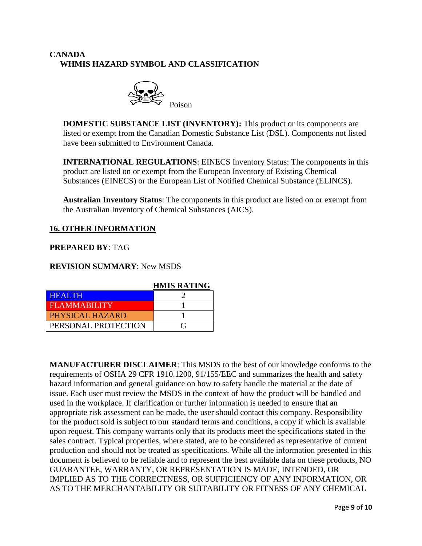# **CANADA WHMIS HAZARD SYMBOL AND CLASSIFICATION**



**DOMESTIC SUBSTANCE LIST (INVENTORY):** This product or its components are listed or exempt from the Canadian Domestic Substance List (DSL). Components not listed have been submitted to Environment Canada.

**INTERNATIONAL REGULATIONS**: EINECS Inventory Status: The components in this product are listed on or exempt from the European Inventory of Existing Chemical Substances (EINECS) or the European List of Notified Chemical Substance (ELINCS).

**Australian Inventory Status**: The components in this product are listed on or exempt from the Australian Inventory of Chemical Substances (AICS).

# **16. OTHER INFORMATION**

## **PREPARED BY**: TAG

#### **REVISION SUMMARY**: New MSDS

|                     | <b>HMIS RATING</b> |  |  |  |
|---------------------|--------------------|--|--|--|
| <b>HEALTH</b>       |                    |  |  |  |
| <b>FLAMMABILITY</b> |                    |  |  |  |
| PHYSICAL HAZARD     |                    |  |  |  |
| PERSONAL PROTECTION |                    |  |  |  |

**MANUFACTURER DISCLAIMER**: This MSDS to the best of our knowledge conforms to the requirements of OSHA 29 CFR 1910.1200, 91/155/EEC and summarizes the health and safety hazard information and general guidance on how to safety handle the material at the date of issue. Each user must review the MSDS in the context of how the product will be handled and used in the workplace. If clarification or further information is needed to ensure that an appropriate risk assessment can be made, the user should contact this company. Responsibility for the product sold is subject to our standard terms and conditions, a copy if which is available upon request. This company warrants only that its products meet the specifications stated in the sales contract. Typical properties, where stated, are to be considered as representative of current production and should not be treated as specifications. While all the information presented in this document is believed to be reliable and to represent the best available data on these products, NO GUARANTEE, WARRANTY, OR REPRESENTATION IS MADE, INTENDED, OR IMPLIED AS TO THE CORRECTNESS, OR SUFFICIENCY OF ANY INFORMATION, OR AS TO THE MERCHANTABILITY OR SUITABILITY OR FITNESS OF ANY CHEMICAL